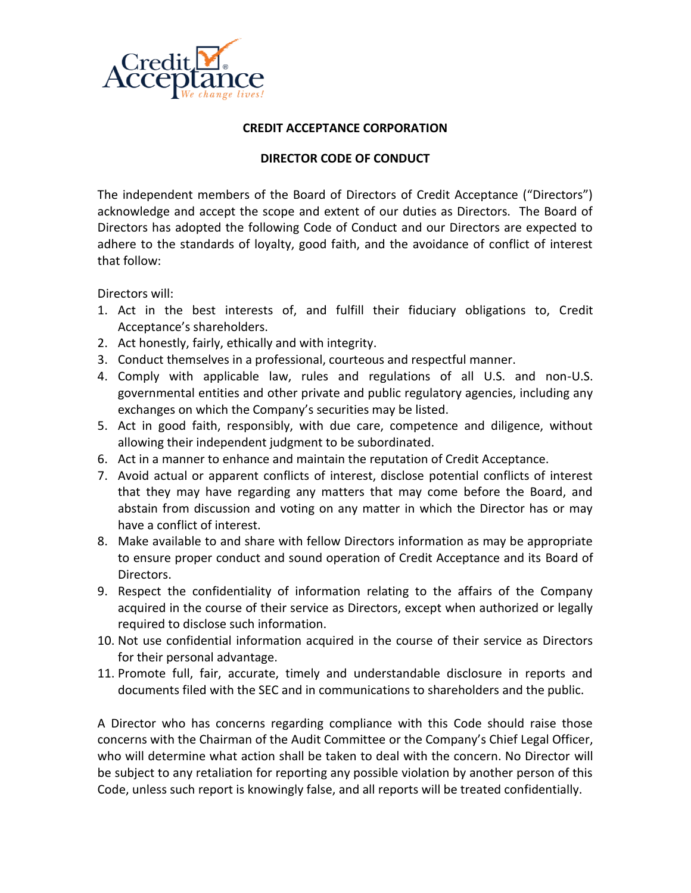

## **CREDIT ACCEPTANCE CORPORATION**

## **DIRECTOR CODE OF CONDUCT**

The independent members of the Board of Directors of Credit Acceptance ("Directors") acknowledge and accept the scope and extent of our duties as Directors. The Board of Directors has adopted the following Code of Conduct and our Directors are expected to adhere to the standards of loyalty, good faith, and the avoidance of conflict of interest that follow:

Directors will:

- 1. Act in the best interests of, and fulfill their fiduciary obligations to, Credit Acceptance's shareholders.
- 2. Act honestly, fairly, ethically and with integrity.
- 3. Conduct themselves in a professional, courteous and respectful manner.
- 4. Comply with applicable law, rules and regulations of all U.S. and non-U.S. governmental entities and other private and public regulatory agencies, including any exchanges on which the Company's securities may be listed.
- 5. Act in good faith, responsibly, with due care, competence and diligence, without allowing their independent judgment to be subordinated.
- 6. Act in a manner to enhance and maintain the reputation of Credit Acceptance.
- 7. Avoid actual or apparent conflicts of interest, disclose potential conflicts of interest that they may have regarding any matters that may come before the Board, and abstain from discussion and voting on any matter in which the Director has or may have a conflict of interest.
- 8. Make available to and share with fellow Directors information as may be appropriate to ensure proper conduct and sound operation of Credit Acceptance and its Board of Directors.
- 9. Respect the confidentiality of information relating to the affairs of the Company acquired in the course of their service as Directors, except when authorized or legally required to disclose such information.
- 10. Not use confidential information acquired in the course of their service as Directors for their personal advantage.
- 11. Promote full, fair, accurate, timely and understandable disclosure in reports and documents filed with the SEC and in communications to shareholders and the public.

A Director who has concerns regarding compliance with this Code should raise those concerns with the Chairman of the Audit Committee or the Company's Chief Legal Officer, who will determine what action shall be taken to deal with the concern. No Director will be subject to any retaliation for reporting any possible violation by another person of this Code, unless such report is knowingly false, and all reports will be treated confidentially.